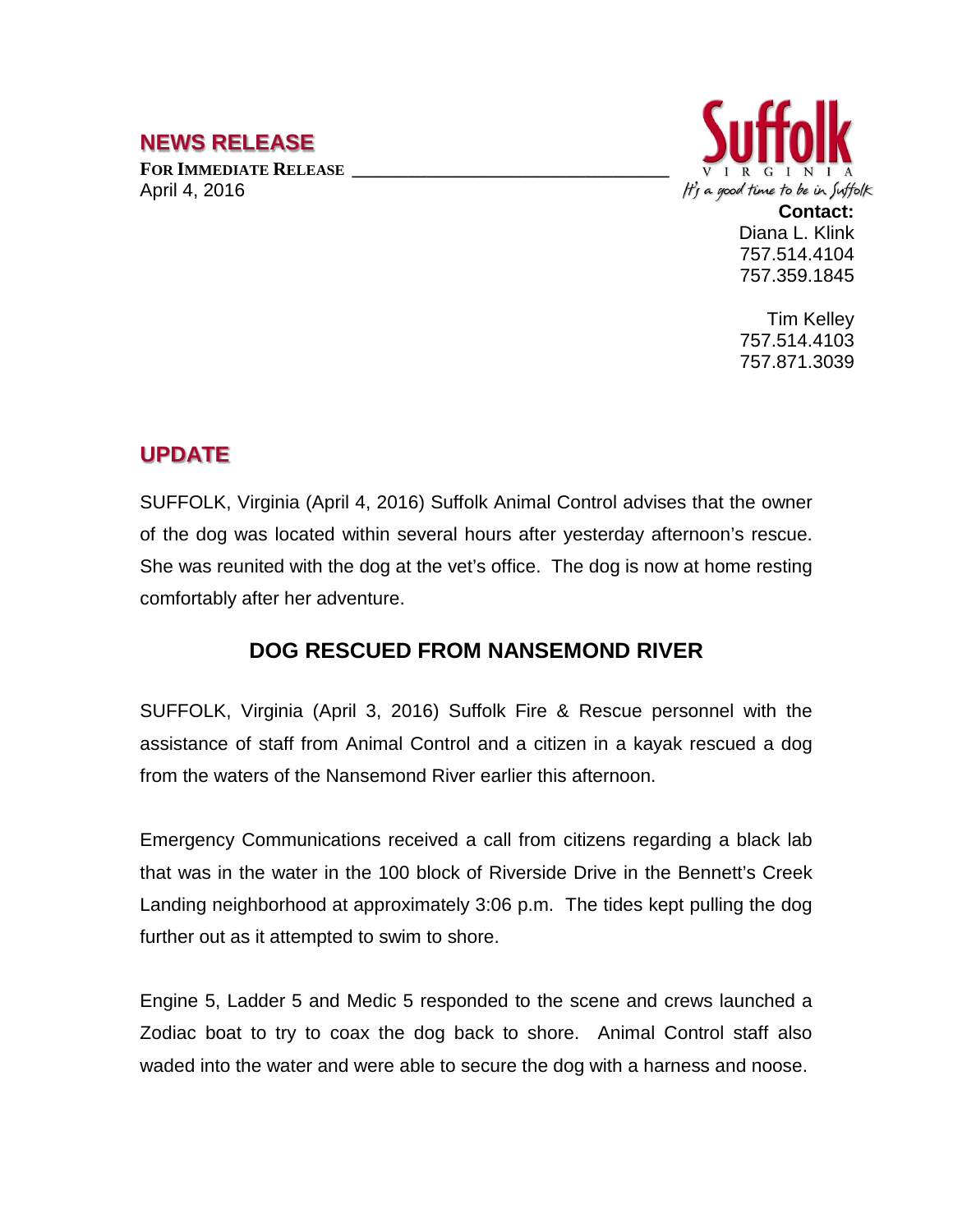## **NEWS RELEASE**

FOR **IMMEDIATE RELEASE** April 4, 2016



**Contact:** Diana L. Klink 757.514.4104 757.359.1845

Tim Kelley 757.514.4103 757.871.3039

## **UPDATE**

SUFFOLK, Virginia (April 4, 2016) Suffolk Animal Control advises that the owner of the dog was located within several hours after yesterday afternoon's rescue. She was reunited with the dog at the vet's office. The dog is now at home resting comfortably after her adventure.

## **DOG RESCUED FROM NANSEMOND RIVER**

SUFFOLK, Virginia (April 3, 2016) Suffolk Fire & Rescue personnel with the assistance of staff from Animal Control and a citizen in a kayak rescued a dog from the waters of the Nansemond River earlier this afternoon.

Emergency Communications received a call from citizens regarding a black lab that was in the water in the 100 block of Riverside Drive in the Bennett's Creek Landing neighborhood at approximately 3:06 p.m. The tides kept pulling the dog further out as it attempted to swim to shore.

Engine 5, Ladder 5 and Medic 5 responded to the scene and crews launched a Zodiac boat to try to coax the dog back to shore. Animal Control staff also waded into the water and were able to secure the dog with a harness and noose.